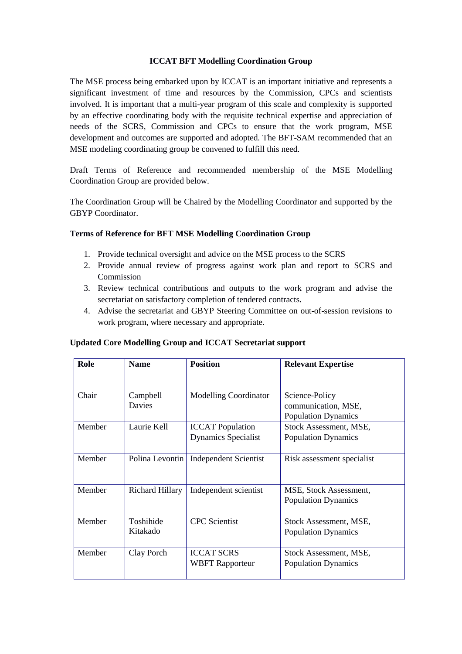## **ICCAT BFT Modelling Coordination Group**

The MSE process being embarked upon by ICCAT is an important initiative and represents a significant investment of time and resources by the Commission, CPCs and scientists involved. It is important that a multi-year program of this scale and complexity is supported by an effective coordinating body with the requisite technical expertise and appreciation of needs of the SCRS, Commission and CPCs to ensure that the work program, MSE development and outcomes are supported and adopted. The BFT-SAM recommended that an MSE modeling coordinating group be convened to fulfill this need.

Draft Terms of Reference and recommended membership of the MSE Modelling Coordination Group are provided below.

The Coordination Group will be Chaired by the Modelling Coordinator and supported by the GBYP Coordinator.

## **Terms of Reference for BFT MSE Modelling Coordination Group**

- 1. Provide technical oversight and advice on the MSE process to the SCRS
- 2. Provide annual review of progress against work plan and report to SCRS and Commission
- 3. Review technical contributions and outputs to the work program and advise the secretariat on satisfactory completion of tendered contracts.
- 4. Advise the secretariat and GBYP Steering Committee on out-of-session revisions to work program, where necessary and appropriate.

| Role   | <b>Name</b>           | <b>Position</b>                                       | <b>Relevant Expertise</b>                                           |
|--------|-----------------------|-------------------------------------------------------|---------------------------------------------------------------------|
| Chair  | Campbell<br>Davies    | <b>Modelling Coordinator</b>                          | Science-Policy<br>communication, MSE,<br><b>Population Dynamics</b> |
| Member | Laurie Kell           | <b>ICCAT Population</b><br><b>Dynamics Specialist</b> | Stock Assessment, MSE,<br><b>Population Dynamics</b>                |
| Member | Polina Levontin       | <b>Independent Scientist</b>                          | Risk assessment specialist                                          |
| Member | Richard Hillary       | Independent scientist                                 | MSE, Stock Assessment,<br><b>Population Dynamics</b>                |
| Member | Toshihide<br>Kitakado | <b>CPC</b> Scientist                                  | Stock Assessment, MSE,<br><b>Population Dynamics</b>                |
| Member | Clay Porch            | <b>ICCAT SCRS</b><br><b>WBFT</b> Rapporteur           | Stock Assessment, MSE,<br><b>Population Dynamics</b>                |

## **Updated Core Modelling Group and ICCAT Secretariat support**